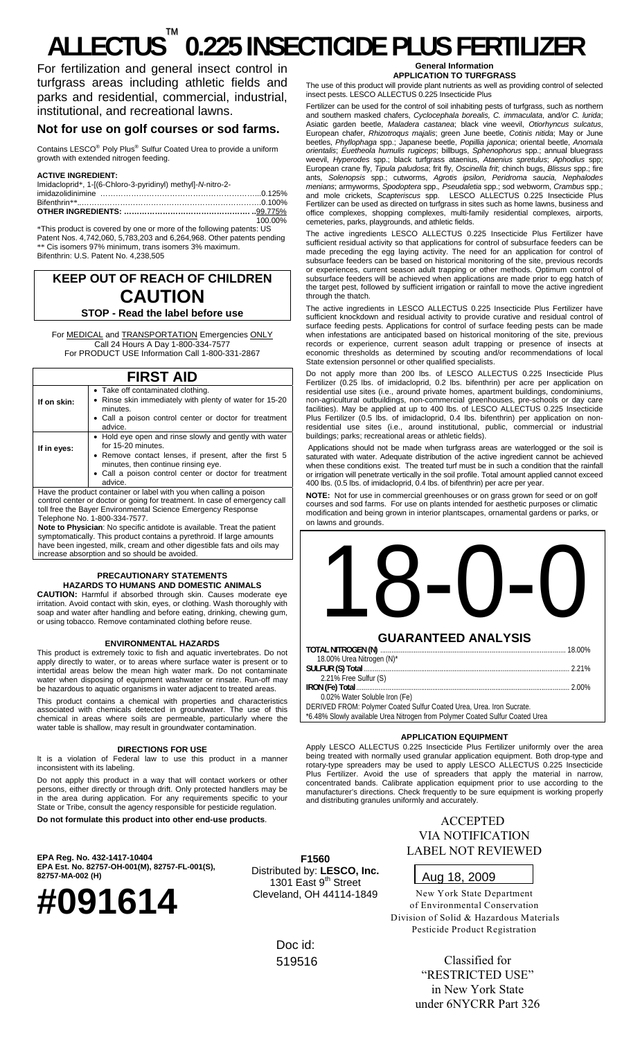# **ALLECTUS** ™  **0.225 INSECTICIDE PLUS FERTILIZER**

For fertilization and general insect control in turfgrass areas including athletic fields and parks and residential, commercial, industrial, institutional, and recreational lawns.

### **Not for use on golf courses or sod farms.**

Contains LESCO® Poly Plus® Sulfur Coated Urea to provide a uniform growth with extended nitrogen feeding.

#### **ACTIVE INGREDIENT:**

| Imidacloprid*, 1-[(6-Chloro-3-pyridinyl) methyl]-N-nitro-2- |         |
|-------------------------------------------------------------|---------|
|                                                             |         |
|                                                             |         |
|                                                             |         |
|                                                             | 100.00% |
|                                                             |         |

\*This product is covered by one or more of the following patents: US Patent Nos. 4,742,060, 5,783,203 and 6,264,968. Other patents pending \*\* Cis isomers 97% minimum, trans isomers 3% maximum. Bifenthrin: U.S. Patent No. 4,238,505

# **KEEP OUT OF REACH OF CHILDREN CAUTION**

#### **STOP - Read the label before use**

For MEDICAL and TRANSPORTATION Emergencies ONLY Call 24 Hours A Day 1-800-334-7577 For PRODUCT USE Information Call 1-800-331-2867

## **FIRST AID**

| If on skin: | • Take off contaminated clothing.<br>• Rinse skin immediately with plenty of water for 15-20<br>minutes.<br>• Call a poison control center or doctor for treatment<br>advice.                                                                      |
|-------------|----------------------------------------------------------------------------------------------------------------------------------------------------------------------------------------------------------------------------------------------------|
| If in eyes: | • Hold eye open and rinse slowly and gently with water<br>for 15-20 minutes.<br>• Remove contact lenses, if present, after the first 5<br>minutes, then continue rinsing eye.<br>• Call a poison control center or doctor for treatment<br>advice. |
|             | Have the product container or label with you when calling a poison<br>control center or doctor or going for treatment. In case of emergency call<br>toll free the Rayer Environmental Science Emergency Response                                   |

toll free the Bayer Environmental Science Emergency Response Telephone No. 1-800-334-7577. **Note to Physician**: No specific antidote is available. Treat the patient

symptomatically. This product contains a pyrethroid. If large amounts have been ingested, milk, cream and other digestible fats and oils may increase absorption and so should be avoided.

#### **PRECAUTIONARY STATEMENTS HAZARDS TO HUMANS AND DOMESTIC ANIMALS**

**CAUTION:** Harmful if absorbed through skin. Causes moderate eye irritation. Avoid contact with skin, eyes, or clothing. Wash thoroughly with soap and water after handling and before eating, drinking, chewing gum, or using tobacco. Remove contaminated clothing before reuse.

#### **ENVIRONMENTAL HAZARDS**

This product is extremely toxic to fish and aquatic invertebrates. Do not apply directly to water, or to areas where surface water is present or to intertidal areas below the mean high water mark. Do not contaminate water when disposing of equipment washwater or rinsate. Run-off may be hazardous to aquatic organisms in water adjacent to treated areas.

This product contains a chemical with properties and characteristics associated with chemicals detected in groundwater. The use of this chemical in areas where soils are permeable, particularly where the water table is shallow, may result in groundwater contamination.

#### **DIRECTIONS FOR USE**

It is a violation of Federal law to use this product in a manner inconsistent with its labeling.

Do not apply this product in a way that will contact workers or other persons, either directly or through drift. Only protected handlers may be in the area during application. For any requirements specific to your State or Tribe, consult the agency responsible for pesticide regulation. **Do not formulate this product into other end-use products**.

**EPA Reg. No. 432-1417-10404 EPA Est. No. 82757-OH-001(M), 82757-FL-001(S), 82757-MA-002 (H)** 



**F1560**  Distributed by: **LESCO, Inc.** 1301 East 9<sup>th</sup> Street Cleveland, OH 44114-1849

> Doc id: 519516

#### **General Information APPLICATION TO TURFGRASS**

The use of this product will provide plant nutrients as well as providing control of selected insect pests. LESCO ALLECTUS 0.225 Insecticide Plus

Fertilizer can be used for the control of soil inhabiting pests of turfgrass, such as northern and southern masked chafers, *Cyclocephala borealis, C. immaculata*, and/or *C. lurida*; Asiatic garden beetle, *Maladera castanea*; black vine weevil, *Otiorhyncus sulcatus*, European chafer, *Rhizotroqus majalis*; green June beetle, *Cotinis nitida*; May or June beetles, *Phyllophaga* spp.; Japanese beetle, *Popillia japonica*; oriental beetle, *Anomala orientalis*; *Euetheola humulis rugiceps*; billbugs, *Sphenophorus* spp.; annual bluegrass weevil, *Hyperodes* spp.; black turfgrass ataenius, *Ataenius spretulus*; *Aphodius* spp; European crane fly, *Tipula paludosa*; frit fly, *Oscinella frit*; chinch bugs, *Blissus* spp.; fire ants, *Solenopsis* spp.; cutworms, *Agrotis ipsilon, Peridroma saucia, Nephalodes menians*; armyworms, *Spodoptera* spp.*, Pseudaletia* spp.; sod webworm, *Crambus* spp.; and mole crickets, *Scapteriscus* spp. LESCO ALLECTUS 0.225 Insecticide Plus Fertilizer can be used as directed on turfgrass in sites such as home lawns, business and office complexes, shopping complexes, multi-family residential complexes, airports, cemeteries, parks, playgrounds, and athletic fields.

The active ingredients LESCO ALLECTUS 0.225 Insecticide Plus Fertilizer have sufficient residual activity so that applications for control of subsurface feeders can be made preceding the egg laying activity. The need for an application for control of subsurface feeders can be based on historical monitoring of the site, previous records or experiences, current season adult trapping or other methods. Optimum control of subsurface feeders will be achieved when applications are made prior to egg hatch of the target pest, followed by sufficient irrigation or rainfall to move the active ingredient through the thatch.

The active ingredients in LESCO ALLECTUS 0.225 Insecticide Plus Fertilizer have sufficient knockdown and residual activity to provide curative and residual control of surface feeding pests. Applications for control of surface feeding pests can be made when infestations are anticipated based on historical monitoring of the site, previous records or experience, current season adult trapping or presence of insects at economic thresholds as determined by scouting and/or recommendations of local State extension personnel or other qualified specialists.

Do not apply more than 200 lbs. of LESCO ALLECTUS 0.225 Insecticide Plus Fertilizer (0.25 lbs. of imidacloprid, 0.2 lbs. bifenthrin) per acre per application on residential use sites (i.e., around private homes, apartment buildings, condominiums, non-agricultural outbuildings, non-commercial greenhouses, pre-schools or day care facilities). May be applied at up to 400 lbs. of LESCO ALLECTUS 0.225 Insecticide Plus Fertilizer (0.5 lbs. of imidacloprid, 0.4 lbs. bifenthrin) per application on nonresidential use sites (i.e., around institutional, public, commercial or industrial buildings; parks; recreational areas or athletic fields).

 Applications should not be made when turfgrass areas are waterlogged or the soil is saturated with water. Adequate distribution of the active ingredient cannot be achieved when these conditions exist. The treated turf must be in such a condition that the rainfall or irrigation will penetrate vertically in the soil profile. Total amount applied cannot exceed 400 lbs. (0.5 lbs. of imidacloprid, 0.4 lbs. of bifenthrin) per acre per year.

**NOTE:** Not for use in commercial greenhouses or on grass grown for seed or on golf courses and sod farms. For use on plants intended for aesthetic purposes or climatic modification and being grown in interior plantscapes, ornamental gardens or parks, or on la wns and grounds.

| <b>GUARANTEED ANALYSIS</b>                                                   |       |
|------------------------------------------------------------------------------|-------|
|                                                                              |       |
| 18.00% Urea Nitrogen (N)*                                                    |       |
|                                                                              | 2.21% |
| 2.21% Free Sulfur (S)                                                        |       |
|                                                                              |       |
| 0.02% Water Soluble Iron (Fe)                                                |       |
| DERIVED FROM: Polymer Coated Sulfur Coated Urea, Urea. Iron Sucrate.         |       |
| *6.48% Slowly available Urea Nitrogen from Polymer Coated Sulfur Coated Urea |       |

#### **APPLICATION EQUIPMENT**

Apply LESCO ALLECTUS 0.225 Insecticide Plus Fertilizer uniformly over the area being treated with normally used granular application equipment. Both drop-type and rotary-type spreaders may be used to apply LESCO ALLECTUS 0.225 Insecticide Plus Fertilizer. Avoid the use of spreaders that apply the material in narrow, concentrated bands. Calibrate application equipment prior to use according to the manufacturer's directions. Check frequently to be sure equipment is working properly and distributing granules uniformly and accurately.

> ACCEPTED VIA NOTIFICATION LABEL NOT REVIEWED

### Aug 18, 2009

New York State Department of Environmental Conservation Division of Solid & Hazardous Materials Pesticide Product Registration

> Classified for "RESTRICTED USE" in New York State under 6NYCRR Part 326